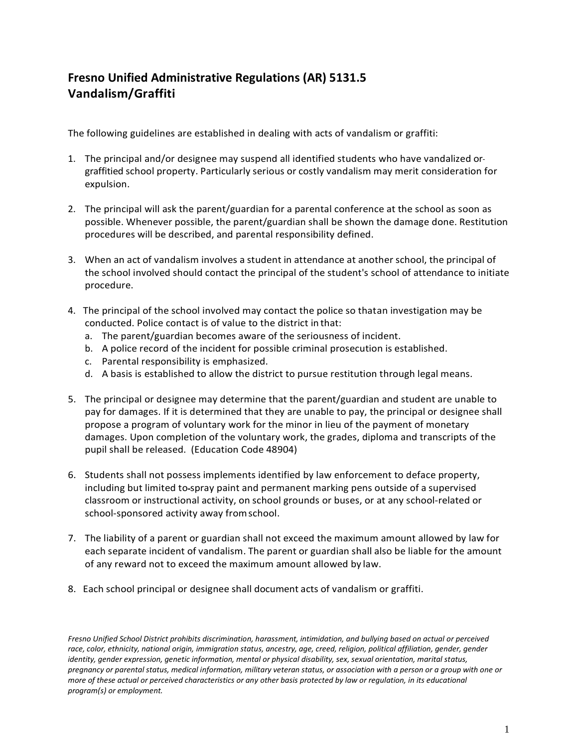## **Fresno Unified Administrative Regulations (AR) 5131.5 Vandalism/Graffiti**

The following guidelines are established in dealing with acts of vandalism or graffiti:

- 1. The principal and/or designee may suspend all identified students who have vandalized or graffitied school property. Particularly serious or costly vandalism may merit consideration for expulsion.
- 2. The principal will ask the parent/guardian for a parental conference at the school as soon as possible. Whenever possible, the parent/guardian shall be shown the damage done. Restitution procedures will be described, and parental responsibility defined.
- 3. When an act of vandalism involves a student in attendance at another school, the principal of the school involved should contact the principal of the student's school of attendance to initiate procedure.
- 4. The principal of the school involved may contact the police so thatan investigation may be conducted. Police contact is of value to the district in that:
	- a. The parent/guardian becomes aware of the seriousness of incident.
	- b. A police record of the incident for possible criminal prosecution is established.
	- c. Parental responsibility is emphasized.
	- d. A basis is established to allow the district to pursue restitution through legal means.
- 5. The principal or designee may determine that the parent/guardian and student are unable to pay for damages. If it is determined that they are unable to pay, the principal or designee shall propose a program of voluntary work for the minor in lieu of the payment of monetary damages. Upon completion of the voluntary work, the grades, diploma and transcripts of the pupil shall be released. (Education Code 48904)
- 6. Students shall not possess implements identified by law enforcement to deface property, including but limited to spray paint and permanent marking pens outside of a supervised classroom or instructional activity, on school grounds or buses, or at any school-related or school-sponsored activity away fromschool.
- 7. The liability of a parent or guardian shall not exceed the maximum amount allowed by law for each separate incident of vandalism. The parent or guardian shall also be liable for the amount of any reward not to exceed the maximum amount allowed by law.
- 8. Each school principal or designee shall document acts of vandalism or graffiti.

*Fresno Unified School District prohibits discrimination, harassment, intimidation, and bullying based on actual or perceived*  race, color, ethnicity, national origin, immigration status, ancestry, age, creed, religion, political affiliation, gender, gender *identity, gender expression, genetic information, mental or physical disability, sex, sexual orientation, marital status, pregnancy or parental status, medical information, military veteran status, or association with a person or a group with one or more of these actual or perceived characteristics or any other basis protected by law or regulation, in its educational program(s) or employment.*